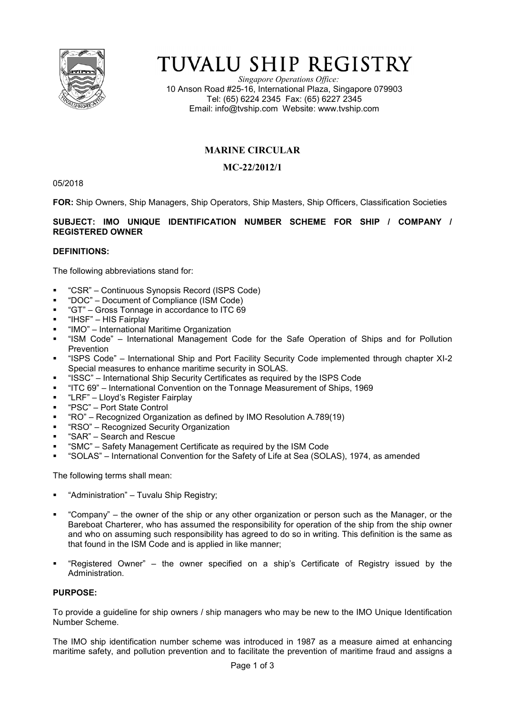

# TUVALU SHIP REGISTRY

*Singapore Operations Office:* 10 Anson Road #25-16, International Plaza, Singapore 079903 Tel: (65) 6224 2345 Fax: (65) 6227 2345 Email: info@tvship.com Website: www.tvship.com

## **MARINE CIRCULAR**

### **MC-22/2012/1**

05/2018

**FOR:** Ship Owners, Ship Managers, Ship Operators, Ship Masters, Ship Officers, Classification Societies

#### **SUBJECT: IMO UNIQUE IDENTIFICATION NUMBER SCHEME FOR SHIP / COMPANY / REGISTERED OWNER**

#### **DEFINITIONS:**

The following abbreviations stand for:

- "CSR" Continuous Synopsis Record (ISPS Code)
- "DOC" Document of Compliance (ISM Code)
- "GT" Gross Tonnage in accordance to ITC 69
- "IHSF" HIS Fairplay
- "IMO" International Maritime Organization
- "ISM Code" International Management Code for the Safe Operation of Ships and for Pollution **Prevention**
- "ISPS Code" International Ship and Port Facility Security Code implemented through chapter XI-2 Special measures to enhance maritime security in SOLAS.
- "ISSC" International Ship Security Certificates as required by the ISPS Code
- "ITC 69" International Convention on the Tonnage Measurement of Ships, 1969
- "LRF" Lloyd's Register Fairplay
- "PSC" Port State Control
- "RO" Recognized Organization as defined by IMO Resolution A.789(19)
- "RSO" Recognized Security Organization
- "SAR" Search and Rescue
- **"** "SMC" Safety Management Certificate as required by the ISM Code
- "SOLAS" International Convention for the Safety of Life at Sea (SOLAS), 1974, as amended

The following terms shall mean:

- "Administration" Tuvalu Ship Registry;
- "Company" the owner of the ship or any other organization or person such as the Manager, or the Bareboat Charterer, who has assumed the responsibility for operation of the ship from the ship owner and who on assuming such responsibility has agreed to do so in writing. This definition is the same as that found in the ISM Code and is applied in like manner;
- "Registered Owner" the owner specified on a ship's Certificate of Registry issued by the Administration.

#### **PURPOSE:**

To provide a guideline for ship owners / ship managers who may be new to the IMO Unique Identification Number Scheme.

The IMO ship identification number scheme was introduced in 1987 as a measure aimed at enhancing maritime safety, and pollution prevention and to facilitate the prevention of maritime fraud and assigns a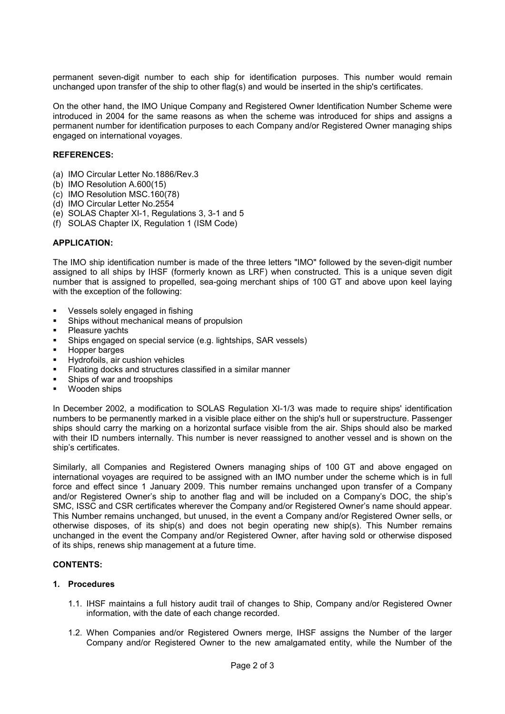permanent seven-digit number to each ship for identification purposes. This number would remain unchanged upon transfer of the ship to other flag(s) and would be inserted in the ship's certificates.

On the other hand, the IMO Unique Company and Registered Owner Identification Number Scheme were introduced in 2004 for the same reasons as when the scheme was introduced for ships and assigns a permanent number for identification purposes to each Company and/or Registered Owner managing ships engaged on international voyages.

#### **REFERENCES:**

- (a) IMO Circular Letter No.1886/Rev.3
- (b) IMO Resolution A.600(15)
- (c) IMO Resolution MSC.160(78)
- (d) IMO Circular Letter No.2554
- (e) SOLAS Chapter XI-1, Regulations 3, 3-1 and 5
- (f) SOLAS Chapter IX, Regulation 1 (ISM Code)

#### **APPLICATION:**

The IMO ship identification number is made of the three letters "IMO" followed by the seven-digit number assigned to all ships by IHSF (formerly known as LRF) when constructed. This is a unique seven digit number that is assigned to propelled, sea-going merchant ships of 100 GT and above upon keel laying with the exception of the following:

- **Vessels solely engaged in fishing**
- Ships without mechanical means of propulsion
- Pleasure vachts
- Ships engaged on special service (e.g. lightships, SAR vessels)
- Hopper barges
- Hydrofoils, air cushion vehicles
- Floating docks and structures classified in a similar manner
- Ships of war and troopships
- Wooden ships

In December 2002, a modification to SOLAS Regulation XI-1/3 was made to require ships' identification numbers to be permanently marked in a visible place either on the ship's hull or superstructure. Passenger ships should carry the marking on a horizontal surface visible from the air. Ships should also be marked with their ID numbers internally. This number is never reassigned to another vessel and is shown on the ship's certificates.

Similarly, all Companies and Registered Owners managing ships of 100 GT and above engaged on international voyages are required to be assigned with an IMO number under the scheme which is in full force and effect since 1 January 2009. This number remains unchanged upon transfer of a Company and/or Registered Owner's ship to another flag and will be included on a Company's DOC, the ship's SMC, ISSC and CSR certificates wherever the Company and/or Registered Owner's name should appear. This Number remains unchanged, but unused, in the event a Company and/or Registered Owner sells, or otherwise disposes, of its ship(s) and does not begin operating new ship(s). This Number remains unchanged in the event the Company and/or Registered Owner, after having sold or otherwise disposed of its ships, renews ship management at a future time.

#### **CONTENTS:**

#### **1. Procedures**

- 1.1. IHSF maintains a full history audit trail of changes to Ship, Company and/or Registered Owner information, with the date of each change recorded.
- 1.2. When Companies and/or Registered Owners merge, IHSF assigns the Number of the larger Company and/or Registered Owner to the new amalgamated entity, while the Number of the